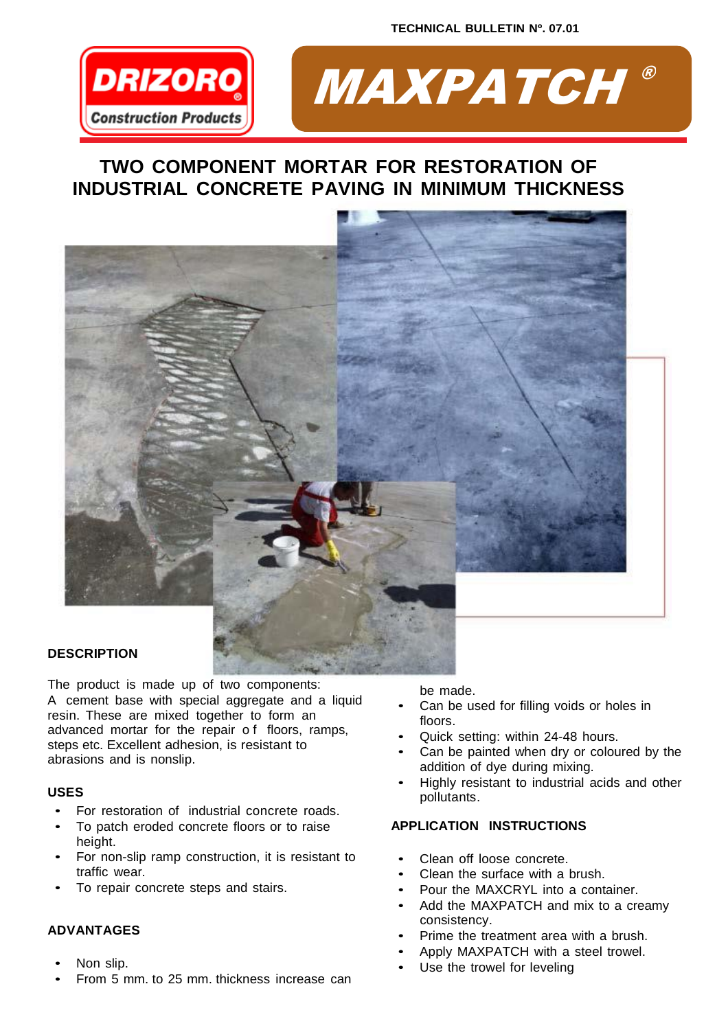



# **TWO COMPONENT MORTAR FOR RESTORATION OF INDUSTRIAL CONCRETE PAVING IN MINIMUM THICKNESS**



## **DESCRIPTION**

The product is made up of two components: A cement base with special aggregate and a liquid resin. These are mixed together to form an advanced mortar for the repair o f floors, ramps, steps etc. Excellent adhesion, is resistant to abrasions and is nonslip.

## **USES**

- For restoration of industrial concrete roads.
- To patch eroded concrete floors or to raise height.
- For non-slip ramp construction, it is resistant to traffic wear.
- To repair concrete steps and stairs.

# **ADVANTAGES**

- Non slip.
- From 5 mm. to 25 mm. thickness increase can

be made.

- Can be used for filling voids or holes in floors.
- Quick setting: within 24-48 hours.
- Can be painted when dry or coloured by the addition of dye during mixing.
- Highly resistant to industrial acids and other pollutants.

# **APPLICATION INSTRUCTIONS**

- Clean off loose concrete.
- Clean the surface with a brush.
- Pour the MAXCRYL into a container.
- Add the MAXPATCH and mix to a creamy consistency.
- Prime the treatment area with a brush.
- Apply MAXPATCH with a steel trowel.
- Use the trowel for leveling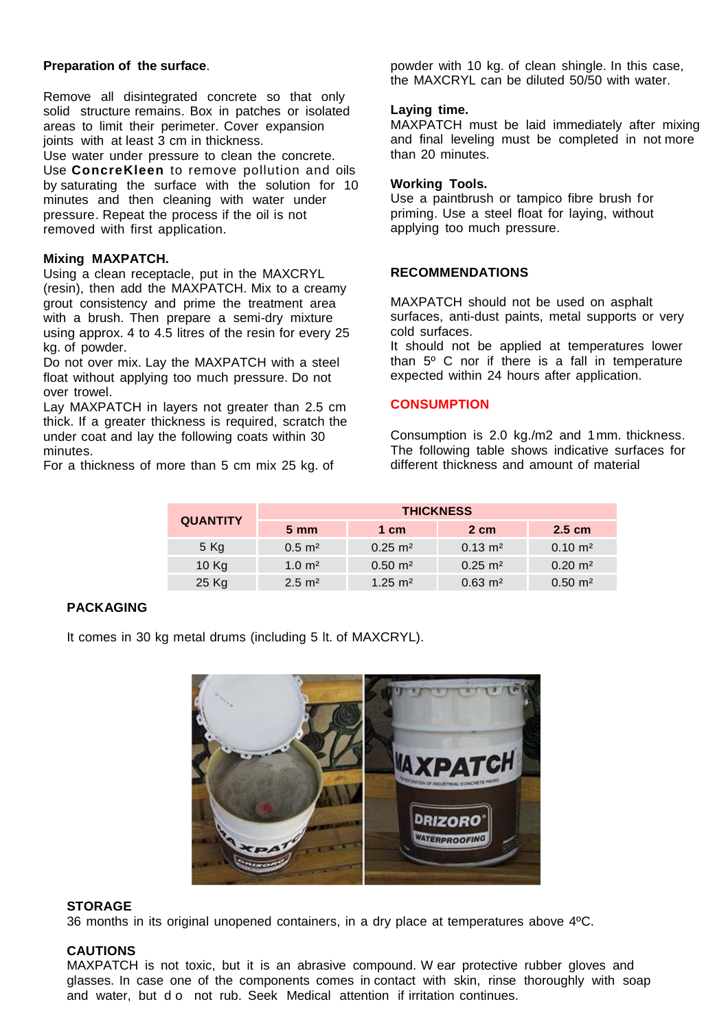### **Preparation of the surface**.

Remove all disintegrated concrete so that only solid structure remains. Box in patches or isolated areas to limit their perimeter. Cover expansion joints with at least 3 cm in thickness.

Use water under pressure to clean the concrete. Use **ConcreKleen** to remove pollution and oils by saturating the surface with the solution for 10 minutes and then cleaning with water under pressure. Repeat the process if the oil is not removed with first application.

#### **Mixing MAXPATCH.**

Using a clean receptacle, put in the MAXCRYL (resin), then add the MAXPATCH. Mix to a creamy grout consistency and prime the treatment area with a brush. Then prepare a semi-dry mixture using approx. 4 to 4.5 litres of the resin for every 25 kg. of powder.

Do not over mix. Lay the MAXPATCH with a steel float without applying too much pressure. Do not over trowel.

Lay MAXPATCH in layers not greater than 2.5 cm thick. If a greater thickness is required, scratch the under coat and lay the following coats within 30 minutes.

For a thickness of more than 5 cm mix 25 kg. of

powder with 10 kg. of clean shingle. In this case, the MAXCRYL can be diluted 50/50 with water.

#### **Laying time.**

MAXPATCH must be laid immediately after mixing and final leveling must be completed in not more than 20 minutes.

#### **Working Tools.**

Use a paintbrush or tampico fibre brush for priming. Use a steel float for laying, without applying too much pressure.

#### **RECOMMENDATIONS**

MAXPATCH should not be used on asphalt surfaces, anti-dust paints, metal supports or very cold surfaces.

It should not be applied at temperatures lower than 5º C nor if there is a fall in temperature expected within 24 hours after application.

#### **CONSUMPTION**

Consumption is 2.0 kg./m2 and 1mm. thickness. The following table shows indicative surfaces for different thickness and amount of material

| <b>QUANTITY</b> | <b>THICKNESS</b>      |                      |                        |                        |
|-----------------|-----------------------|----------------------|------------------------|------------------------|
|                 | $5 \, \mathrm{mm}$    | 1 cm                 | 2 cm                   | $2.5 \text{ cm}$       |
| 5 Kg            | $0.5 \; \text{m}^2$   | $0.25 \text{ m}^2$   | $0.13 \text{ m}^2$     | $0.10 \text{ m}^2$     |
| 10 Kg           | $1.0 \; \mathrm{m}^2$ | $0.50 \; \text{m}^2$ | $0.25 \text{ m}^2$     | $0.20 \text{ m}^2$     |
| 25 Kg           | $2.5 \text{ m}^2$     | $1.25 \text{ m}^2$   | $0.63 \; \mathrm{m}^2$ | $0.50 \; \mathrm{m}^2$ |

## **PACKAGING**

It comes in 30 kg metal drums (including 5 lt. of MAXCRYL).



#### **STORAGE**

36 months in its original unopened containers, in a dry place at temperatures above 4ºC.

## **CAUTIONS**

MAXPATCH is not toxic, but it is an abrasive compound. W ear protective rubber gloves and glasses. In case one of the components comes in contact with skin, rinse thoroughly with soap and water, but d o not rub. Seek Medical attention if irritation continues.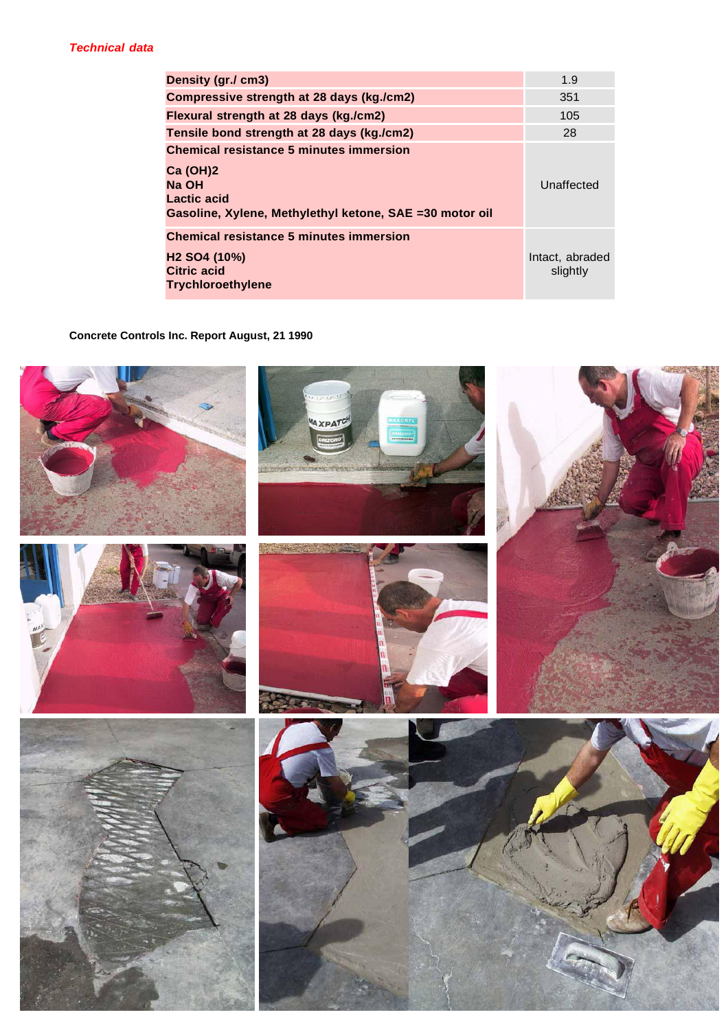| Density (gr./ cm3)                                                                                                                                    | 1.9                         |
|-------------------------------------------------------------------------------------------------------------------------------------------------------|-----------------------------|
| Compressive strength at 28 days (kg./cm2)                                                                                                             | 351                         |
| Flexural strength at 28 days (kg./cm2)                                                                                                                | 105                         |
| Tensile bond strength at 28 days (kg./cm2)                                                                                                            | 28                          |
| <b>Chemical resistance 5 minutes immersion</b><br><b>Ca (OH)2</b><br>Na OH<br>Lactic acid<br>Gasoline, Xylene, Methylethyl ketone, SAE = 30 motor oil | Unaffected                  |
| <b>Chemical resistance 5 minutes immersion</b><br>H <sub>2</sub> SO <sub>4</sub> (10%)<br><b>Citric acid</b><br><b>Trychloroethylene</b>              | Intact, abraded<br>slightly |

**Concrete Controls Inc. Report August, 21 1990**